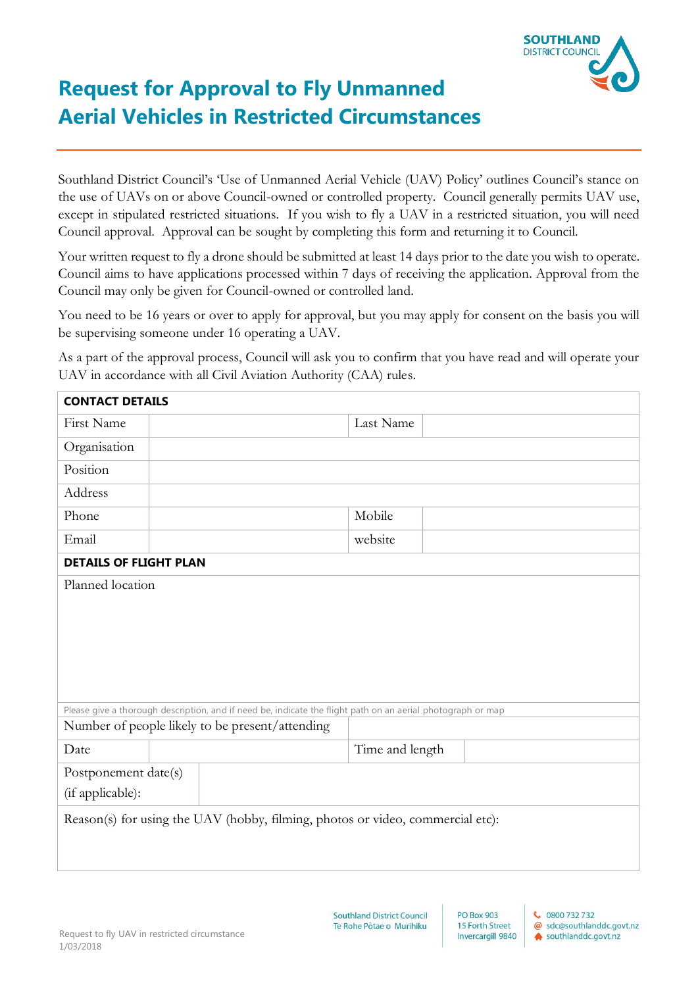

## **Request for Approval to Fly Unmanned Aerial Vehicles in Restricted Circumstances**

Southland District Council's 'Use of Unmanned Aerial Vehicle (UAV) Policy' outlines Council's stance on the use of UAVs on or above Council-owned or controlled property. Council generally permits UAV use, except in stipulated restricted situations. If you wish to fly a UAV in a restricted situation, you will need Council approval. Approval can be sought by completing this form and returning it to Council.

Your written request to fly a drone should be submitted at least 14 days prior to the date you wish to operate. Council aims to have applications processed within 7 days of receiving the application. Approval from the Council may only be given for Council-owned or controlled land.

You need to be 16 years or over to apply for approval, but you may apply for consent on the basis you will be supervising someone under 16 operating a UAV.

As a part of the approval process, Council will ask you to confirm that you have read and will operate your UAV in accordance with all Civil Aviation Authority (CAA) rules.

| <b>CONTACT DETAILS</b>                                                         |                                                                                                             |                 |  |  |
|--------------------------------------------------------------------------------|-------------------------------------------------------------------------------------------------------------|-----------------|--|--|
| First Name                                                                     |                                                                                                             | Last Name       |  |  |
| Organisation                                                                   |                                                                                                             |                 |  |  |
| Position                                                                       |                                                                                                             |                 |  |  |
| Address                                                                        |                                                                                                             |                 |  |  |
| Phone                                                                          |                                                                                                             | Mobile          |  |  |
| Email                                                                          |                                                                                                             | website         |  |  |
| <b>DETAILS OF FLIGHT PLAN</b>                                                  |                                                                                                             |                 |  |  |
|                                                                                |                                                                                                             |                 |  |  |
|                                                                                | Please give a thorough description, and if need be, indicate the flight path on an aerial photograph or map |                 |  |  |
|                                                                                | Number of people likely to be present/attending                                                             |                 |  |  |
| Date                                                                           |                                                                                                             | Time and length |  |  |
| Postponement date(s)                                                           |                                                                                                             |                 |  |  |
| (if applicable):                                                               |                                                                                                             |                 |  |  |
| Reason(s) for using the UAV (hobby, filming, photos or video, commercial etc): |                                                                                                             |                 |  |  |

**Southland District Council** Te Rohe Pôtae o Murihiku

₹ 0800 732 732 @ sdc@southlanddc.govt.nz

southlanddc.govt.nz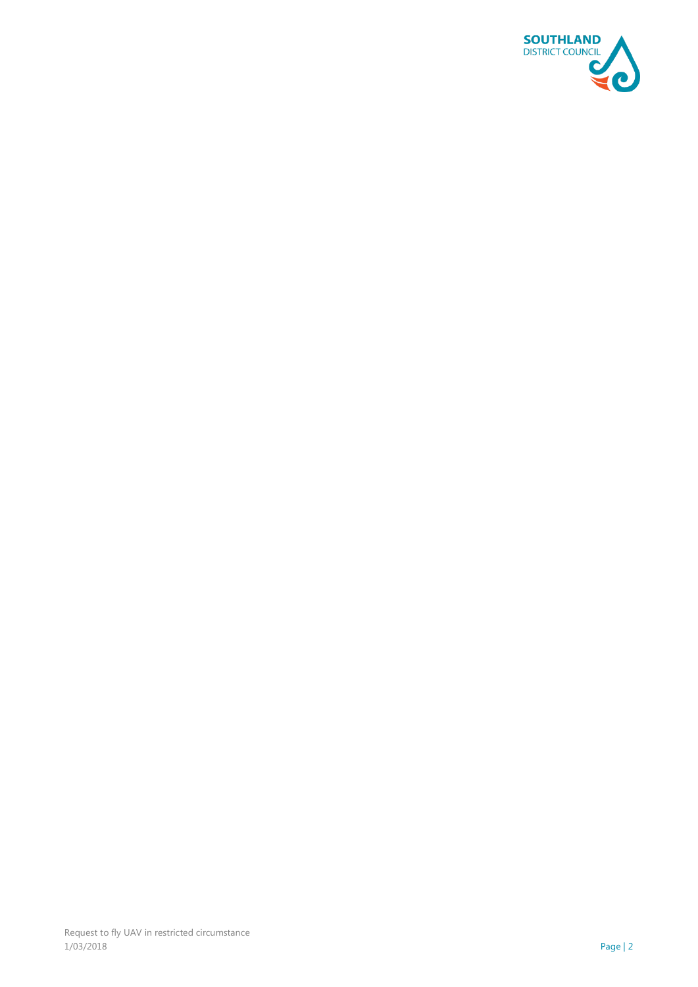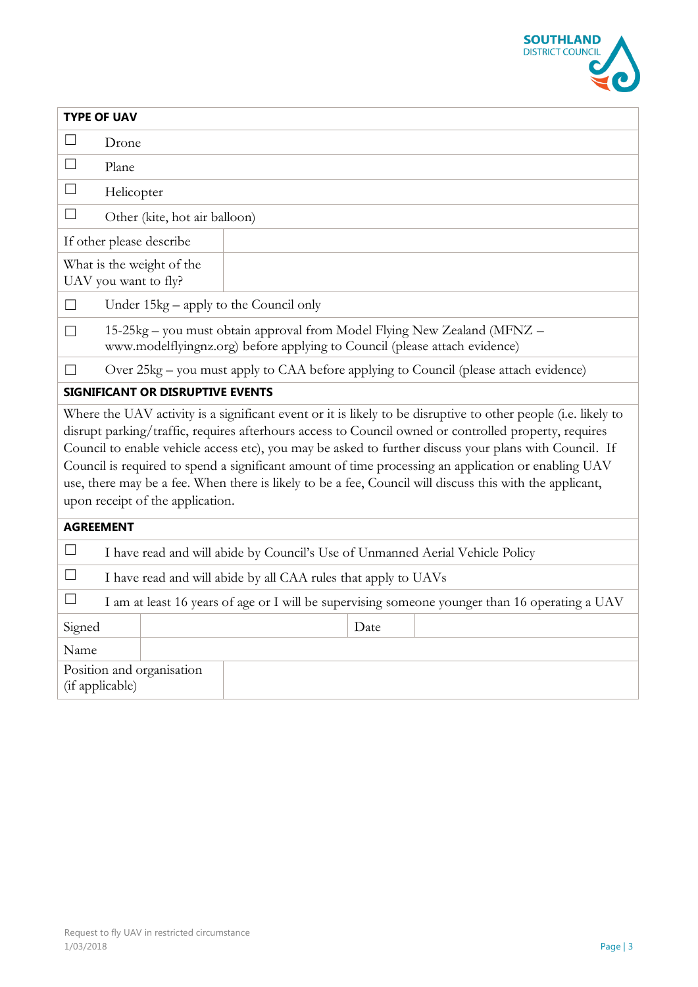

| <b>TYPE OF UAV</b>                                                                                                                                                                                                                                                                                                                                                                                                                                                                                                                                                                       |                                                                                                                                                        |                                                                               |
|------------------------------------------------------------------------------------------------------------------------------------------------------------------------------------------------------------------------------------------------------------------------------------------------------------------------------------------------------------------------------------------------------------------------------------------------------------------------------------------------------------------------------------------------------------------------------------------|--------------------------------------------------------------------------------------------------------------------------------------------------------|-------------------------------------------------------------------------------|
| $\Box$                                                                                                                                                                                                                                                                                                                                                                                                                                                                                                                                                                                   | Drone                                                                                                                                                  |                                                                               |
| $\Box$                                                                                                                                                                                                                                                                                                                                                                                                                                                                                                                                                                                   | Plane                                                                                                                                                  |                                                                               |
| $\Box$                                                                                                                                                                                                                                                                                                                                                                                                                                                                                                                                                                                   | Helicopter                                                                                                                                             |                                                                               |
| $\Box$                                                                                                                                                                                                                                                                                                                                                                                                                                                                                                                                                                                   | Other (kite, hot air balloon)                                                                                                                          |                                                                               |
|                                                                                                                                                                                                                                                                                                                                                                                                                                                                                                                                                                                          | If other please describe                                                                                                                               |                                                                               |
|                                                                                                                                                                                                                                                                                                                                                                                                                                                                                                                                                                                          | What is the weight of the<br>UAV you want to fly?                                                                                                      |                                                                               |
| П                                                                                                                                                                                                                                                                                                                                                                                                                                                                                                                                                                                        | Under 15kg – apply to the Council only                                                                                                                 |                                                                               |
| П                                                                                                                                                                                                                                                                                                                                                                                                                                                                                                                                                                                        | 15-25kg - you must obtain approval from Model Flying New Zealand (MFNZ -<br>www.modelflyingnz.org) before applying to Council (please attach evidence) |                                                                               |
|                                                                                                                                                                                                                                                                                                                                                                                                                                                                                                                                                                                          | Over 25kg – you must apply to CAA before applying to Council (please attach evidence)                                                                  |                                                                               |
|                                                                                                                                                                                                                                                                                                                                                                                                                                                                                                                                                                                          | <b>SIGNIFICANT OR DISRUPTIVE EVENTS</b>                                                                                                                |                                                                               |
| Where the UAV activity is a significant event or it is likely to be disruptive to other people (i.e. likely to<br>disrupt parking/traffic, requires afterhours access to Council owned or controlled property, requires<br>Council to enable vehicle access etc), you may be asked to further discuss your plans with Council. If<br>Council is required to spend a significant amount of time processing an application or enabling UAV<br>use, there may be a fee. When there is likely to be a fee, Council will discuss this with the applicant,<br>upon receipt of the application. |                                                                                                                                                        |                                                                               |
|                                                                                                                                                                                                                                                                                                                                                                                                                                                                                                                                                                                          | <b>AGREEMENT</b>                                                                                                                                       |                                                                               |
|                                                                                                                                                                                                                                                                                                                                                                                                                                                                                                                                                                                          |                                                                                                                                                        | I have read and will abide by Council's Use of Unmanned Aerial Vehicle Policy |

| $\Box$ | I have read and will abide by all CAA rules that apply to UAVs                                 |
|--------|------------------------------------------------------------------------------------------------|
|        | I am at least 16 years of age or I will be supervising someone younger than 16 operating a UAV |

| __<br>I am at least To years of age of I will be supervising someone younger than To operating a UAV |  |  |      |  |
|------------------------------------------------------------------------------------------------------|--|--|------|--|
| Signed                                                                                               |  |  | Date |  |
| Name                                                                                                 |  |  |      |  |
| Position and organisation<br>(if applicable)                                                         |  |  |      |  |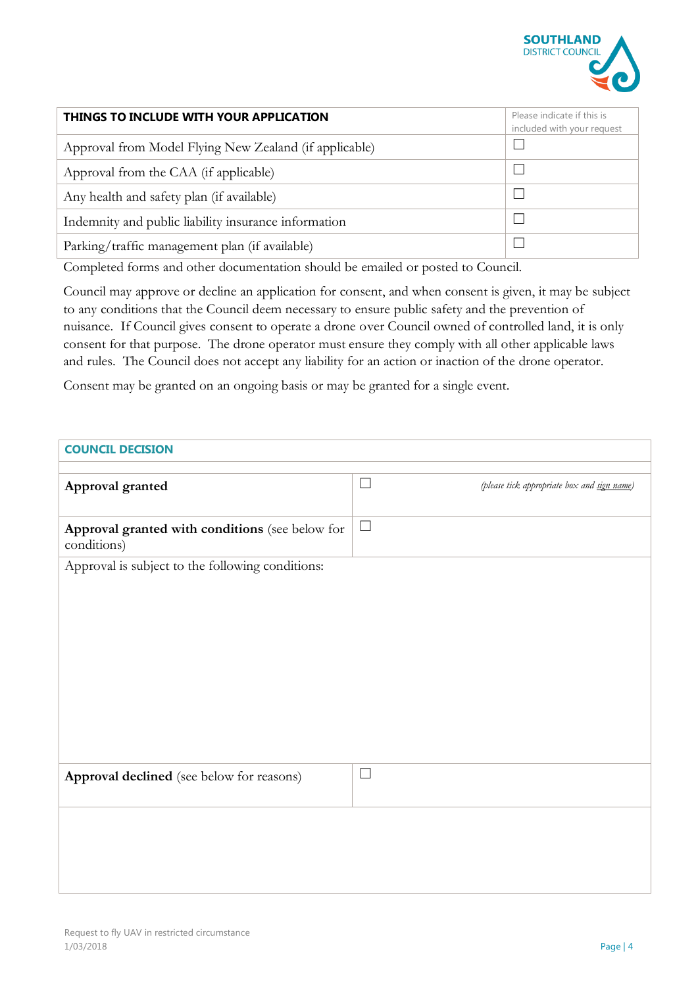

| <b>THINGS TO INCLUDE WITH YOUR APPLICATION</b>         | Please indicate if this is<br>included with your request |
|--------------------------------------------------------|----------------------------------------------------------|
| Approval from Model Flying New Zealand (if applicable) |                                                          |
| Approval from the CAA (if applicable)                  |                                                          |
| Any health and safety plan (if available)              |                                                          |
| Indemnity and public liability insurance information   |                                                          |
| Parking/traffic management plan (if available)         |                                                          |

Completed forms and other documentation should be emailed or posted to Council.

Council may approve or decline an application for consent, and when consent is given, it may be subject to any conditions that the Council deem necessary to ensure public safety and the prevention of nuisance. If Council gives consent to operate a drone over Council owned of controlled land, it is only consent for that purpose. The drone operator must ensure they comply with all other applicable laws and rules. The Council does not accept any liability for an action or inaction of the drone operator.

Consent may be granted on an ongoing basis or may be granted for a single event.

| <b>COUNCIL DECISION</b>                                        |        |                                             |
|----------------------------------------------------------------|--------|---------------------------------------------|
|                                                                |        |                                             |
| Approval granted                                               | $\Box$ | (please tick appropriate box and sign name) |
|                                                                |        |                                             |
| Approval granted with conditions (see below for<br>conditions) | $\Box$ |                                             |
| Approval is subject to the following conditions:               |        |                                             |
|                                                                |        |                                             |
|                                                                |        |                                             |
|                                                                |        |                                             |
|                                                                |        |                                             |
|                                                                |        |                                             |
|                                                                |        |                                             |
|                                                                |        |                                             |
|                                                                |        |                                             |
|                                                                |        |                                             |
| Approval declined (see below for reasons)                      | $\Box$ |                                             |
|                                                                |        |                                             |
|                                                                |        |                                             |
|                                                                |        |                                             |
|                                                                |        |                                             |
|                                                                |        |                                             |